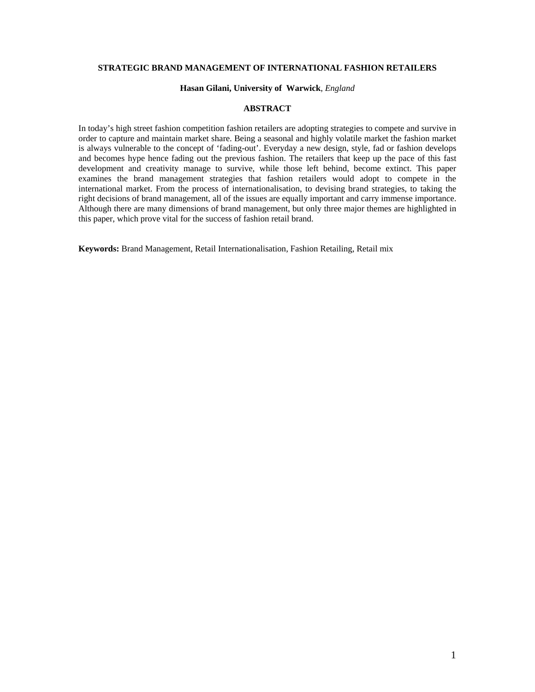# **STRATEGIC BRAND MANAGEMENT OF INTERNATIONAL FASHION RETAILERS**

#### **Hasan Gilani, University of Warwick**, *England*

## **ABSTRACT**

In today's high street fashion competition fashion retailers are adopting strategies to compete and survive in order to capture and maintain market share. Being a seasonal and highly volatile market the fashion market is always vulnerable to the concept of 'fading-out'. Everyday a new design, style, fad or fashion develops and becomes hype hence fading out the previous fashion. The retailers that keep up the pace of this fast development and creativity manage to survive, while those left behind, become extinct. This paper examines the brand management strategies that fashion retailers would adopt to compete in the international market. From the process of internationalisation, to devising brand strategies, to taking the right decisions of brand management, all of the issues are equally important and carry immense importance. Although there are many dimensions of brand management, but only three major themes are highlighted in this paper, which prove vital for the success of fashion retail brand.

**Keywords:** Brand Management, Retail Internationalisation, Fashion Retailing, Retail mix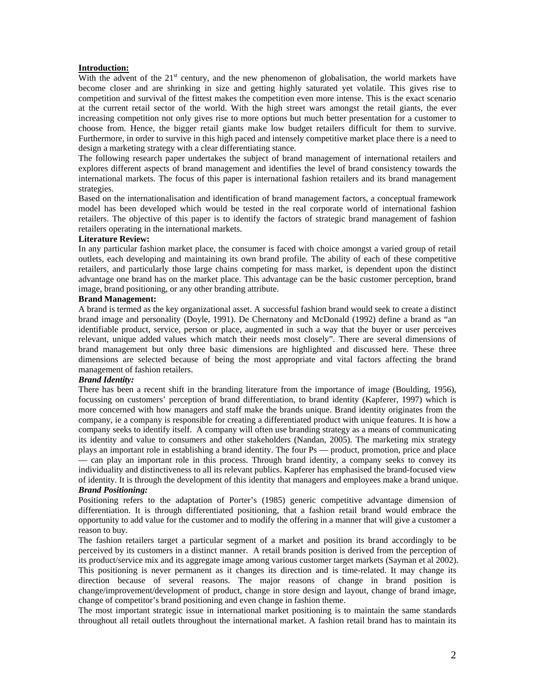## **Introduction:**

With the advent of the  $21<sup>st</sup>$  century, and the new phenomenon of globalisation, the world markets have become closer and are shrinking in size and getting highly saturated yet volatile. This gives rise to competition and survival of the fittest makes the competition even more intense. This is the exact scenario at the current retail sector of the world. With the high street wars amongst the retail giants, the ever increasing competition not only gives rise to more options but much better presentation for a customer to choose from. Hence, the bigger retail giants make low budget retailers difficult for them to survive. Furthermore, in order to survive in this high paced and intensely competitive market place there is a need to design a marketing strategy with a clear differentiating stance.

The following research paper undertakes the subject of brand management of international retailers and explores different aspects of brand management and identifies the level of brand consistency towards the international markets. The focus of this paper is international fashion retailers and its brand management strategies.

Based on the internationalisation and identification of brand management factors, a conceptual framework model has been developed which would be tested in the real corporate world of international fashion retailers. The objective of this paper is to identify the factors of strategic brand management of fashion retailers operating in the international markets.

### **Literature Review:**

In any particular fashion market place, the consumer is faced with choice amongst a varied group of retail outlets, each developing and maintaining its own brand profile. The ability of each of these competitive retailers, and particularly those large chains competing for mass market, is dependent upon the distinct advantage one brand has on the market place. This advantage can be the basic customer perception, brand image, brand positioning, or any other branding attribute.

## **Brand Management:**

A brand is termed as the key organizational asset. A successful fashion brand would seek to create a distinct brand image and personality (Doyle, 1991). De Chernatony and McDonald (1992) define a brand as "an identifiable product, service, person or place, augmented in such a way that the buyer or user perceives relevant, unique added values which match their needs most closely". There are several dimensions of brand management but only three basic dimensions are highlighted and discussed here. These three dimensions are selected because of being the most appropriate and vital factors affecting the brand management of fashion retailers.

## *Brand Identity:*

There has been a recent shift in the branding literature from the importance of image (Boulding, 1956), focussing on customers' perception of brand differentiation, to brand identity (Kapferer, 1997) which is more concerned with how managers and staff make the brands unique. Brand identity originates from the company, ie a company is responsible for creating a differentiated product with unique features. It is how a company seeks to identify itself. A company will often use branding strategy as a means of communicating its identity and value to consumers and other stakeholders (Nandan, 2005). The marketing mix strategy plays an important role in establishing a brand identity. The four Ps — product, promotion, price and place — can play an important role in this process. Through brand identity, a company seeks to convey its individuality and distinctiveness to all its relevant publics. Kapferer has emphasised the brand-focused view of identity. It is through the development of this identity that managers and employees make a brand unique. *Brand Positioning:* 

Positioning refers to the adaptation of Porter's (1985) generic competitive advantage dimension of differentiation. It is through differentiated positioning, that a fashion retail brand would embrace the opportunity to add value for the customer and to modify the offering in a manner that will give a customer a reason to buy.

The fashion retailers target a particular segment of a market and position its brand accordingly to be perceived by its customers in a distinct manner. A retail brands position is derived from the perception of its product/service mix and its aggregate image among various customer target markets (Sayman et al 2002). This positioning is never permanent as it changes its direction and is time-related. It may change its direction because of several reasons. The major reasons of change in brand position is change/improvement/development of product, change in store design and layout, change of brand image, change of competitor's brand positioning and even change in fashion theme.

The most important strategic issue in international market positioning is to maintain the same standards throughout all retail outlets throughout the international market. A fashion retail brand has to maintain its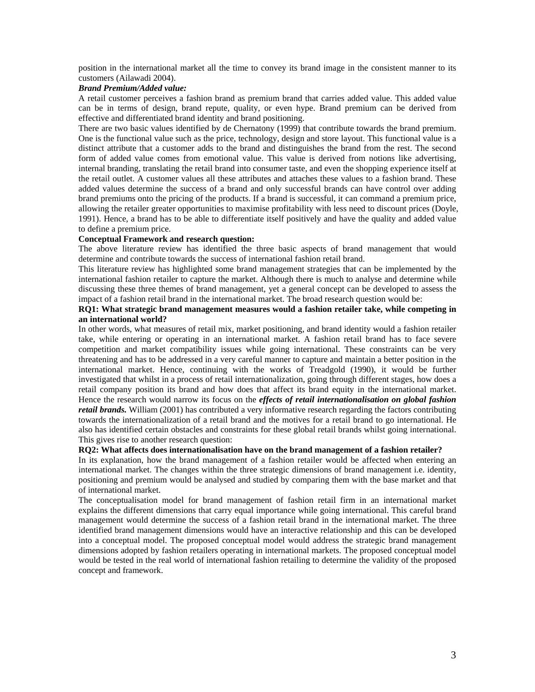position in the international market all the time to convey its brand image in the consistent manner to its customers (Ailawadi 2004).

### *Brand Premium/Added value:*

A retail customer perceives a fashion brand as premium brand that carries added value. This added value can be in terms of design, brand repute, quality, or even hype. Brand premium can be derived from effective and differentiated brand identity and brand positioning.

There are two basic values identified by de Chernatony (1999) that contribute towards the brand premium. One is the functional value such as the price, technology, design and store layout. This functional value is a distinct attribute that a customer adds to the brand and distinguishes the brand from the rest. The second form of added value comes from emotional value. This value is derived from notions like advertising, internal branding, translating the retail brand into consumer taste, and even the shopping experience itself at the retail outlet. A customer values all these attributes and attaches these values to a fashion brand. These added values determine the success of a brand and only successful brands can have control over adding brand premiums onto the pricing of the products. If a brand is successful, it can command a premium price, allowing the retailer greater opportunities to maximise profitability with less need to discount prices (Doyle, 1991). Hence, a brand has to be able to differentiate itself positively and have the quality and added value to define a premium price.

### **Conceptual Framework and research question:**

The above literature review has identified the three basic aspects of brand management that would determine and contribute towards the success of international fashion retail brand.

This literature review has highlighted some brand management strategies that can be implemented by the international fashion retailer to capture the market. Although there is much to analyse and determine while discussing these three themes of brand management, yet a general concept can be developed to assess the impact of a fashion retail brand in the international market. The broad research question would be:

## **RQ1: What strategic brand management measures would a fashion retailer take, while competing in an international world?**

In other words, what measures of retail mix, market positioning, and brand identity would a fashion retailer take, while entering or operating in an international market. A fashion retail brand has to face severe competition and market compatibility issues while going international. These constraints can be very threatening and has to be addressed in a very careful manner to capture and maintain a better position in the international market. Hence, continuing with the works of Treadgold (1990), it would be further investigated that whilst in a process of retail internationalization, going through different stages, how does a retail company position its brand and how does that affect its brand equity in the international market. Hence the research would narrow its focus on the *effects of retail internationalisation on global fashion retail brands.* William (2001) has contributed a very informative research regarding the factors contributing towards the internationalization of a retail brand and the motives for a retail brand to go international. He also has identified certain obstacles and constraints for these global retail brands whilst going international. This gives rise to another research question:

## **RQ2: What affects does internationalisation have on the brand management of a fashion retailer?**

In its explanation, how the brand management of a fashion retailer would be affected when entering an international market. The changes within the three strategic dimensions of brand management i.e. identity, positioning and premium would be analysed and studied by comparing them with the base market and that of international market.

The conceptualisation model for brand management of fashion retail firm in an international market explains the different dimensions that carry equal importance while going international. This careful brand management would determine the success of a fashion retail brand in the international market. The three identified brand management dimensions would have an interactive relationship and this can be developed into a conceptual model. The proposed conceptual model would address the strategic brand management dimensions adopted by fashion retailers operating in international markets. The proposed conceptual model would be tested in the real world of international fashion retailing to determine the validity of the proposed concept and framework.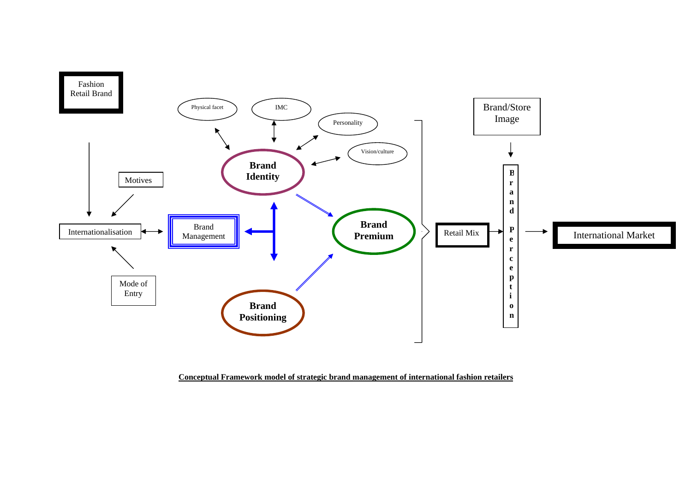

**Conceptual Framework model of strategic brand management of international fashion retailers**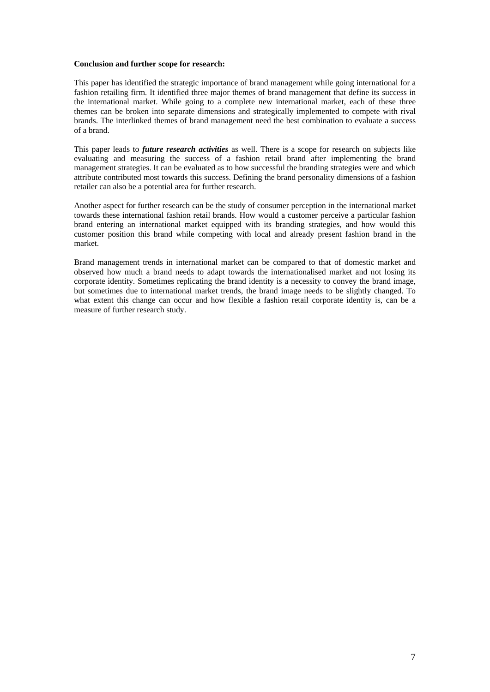## **Conclusion and further scope for research:**

This paper has identified the strategic importance of brand management while going international for a fashion retailing firm. It identified three major themes of brand management that define its success in the international market. While going to a complete new international market, each of these three themes can be broken into separate dimensions and strategically implemented to compete with rival brands. The interlinked themes of brand management need the best combination to evaluate a success of a brand.

This paper leads to *future research activities* as well. There is a scope for research on subjects like evaluating and measuring the success of a fashion retail brand after implementing the brand management strategies. It can be evaluated as to how successful the branding strategies were and which attribute contributed most towards this success. Defining the brand personality dimensions of a fashion retailer can also be a potential area for further research.

Another aspect for further research can be the study of consumer perception in the international market towards these international fashion retail brands. How would a customer perceive a particular fashion brand entering an international market equipped with its branding strategies, and how would this customer position this brand while competing with local and already present fashion brand in the market.

Brand management trends in international market can be compared to that of domestic market and observed how much a brand needs to adapt towards the internationalised market and not losing its corporate identity. Sometimes replicating the brand identity is a necessity to convey the brand image, but sometimes due to international market trends, the brand image needs to be slightly changed. To what extent this change can occur and how flexible a fashion retail corporate identity is, can be a measure of further research study.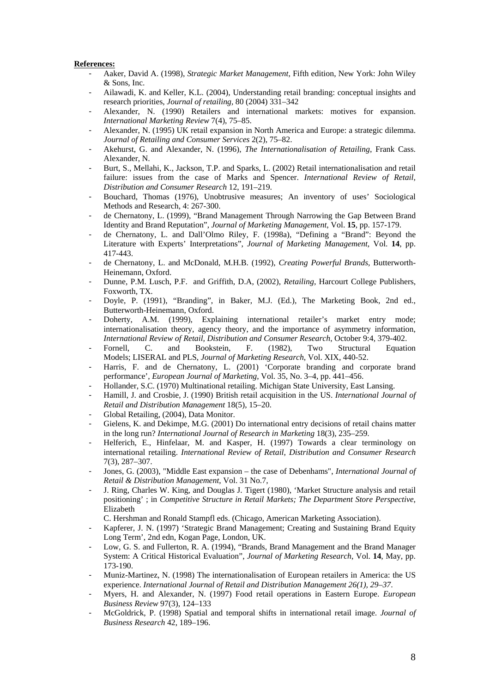## **References:**

- Aaker, David A. (1998), *Strategic Market Management*, Fifth edition, New York: John Wiley & Sons, Inc.
- Ailawadi, K. and Keller, K.L. (2004), Understanding retail branding: conceptual insights and research priorities, *Journal of retailing,* 80 (2004) 331–342
- Alexander, N. (1990) Retailers and international markets: motives for expansion. *International Marketing Review* 7(4), 75–85.
- Alexander, N. (1995) UK retail expansion in North America and Europe: a strategic dilemma. *Journal of Retailing and Consumer Services* 2(2), 75–82.
- Akehurst, G. and Alexander, N. (1996), *The Internationalisation of Retailing*, Frank Cass. Alexander, N.
- Burt, S., Mellahi, K., Jackson, T.P. and Sparks, L. (2002) Retail internationalisation and retail failure: issues from the case of Marks and Spencer. *International Review of Retail, Distribution and Consumer Research* 12, 191–219.
- Bouchard, Thomas (1976), Unobtrusive measures; An inventory of uses' Sociological Methods and Research, 4: 267-300.
- de Chernatony, L. (1999), "Brand Management Through Narrowing the Gap Between Brand Identity and Brand Reputation", *Journal of Marketing Management*, Vol. **15**, pp. 157-179.
- de Chernatony, L. and Dall'Olmo Riley, F. (1998a), "Defining a "Brand": Beyond the Literature with Experts' Interpretations", *Journal of Marketing Management*, Vol. **14**, pp. 417-443.
- de Chernatony, L. and McDonald, M.H.B. (1992), *Creating Powerful Brands*, Butterworth-Heinemann, Oxford.
- Dunne, P.M. Lusch, P.F. and Griffith, D.A, (2002), *Retailing*, Harcourt College Publishers, Foxworth, TX.
- Doyle, P. (1991), "Branding", in Baker, M.J. (Ed.), The Marketing Book, 2nd ed., Butterworth-Heinemann, Oxford.
- Doherty, A.M. (1999), Explaining international retailer's market entry mode; internationalisation theory, agency theory, and the importance of asymmetry information, *International Review of Retail, Distribution and Consumer Research*, October 9:4, 379-402.
- Fornell, C. and Bookstein, F. (1982), Two Structural Equation Models; LISERAL and PLS, *Journal of Marketing Research*, Vol. XIX, 440-52.
- Harris, F. and de Chernatony, L. (2001) 'Corporate branding and corporate brand performance', *European Journal of Marketing*, Vol. 35, No. 3–4, pp. 441–456.
- Hollander, S.C. (1970) Multinational retailing. Michigan State University, East Lansing.
- Hamill, J. and Crosbie, J. (1990) British retail acquisition in the US. *International Journal of Retail and Distribution Management* 18(5), 15–20.
- Global Retailing, (2004), Data Monitor.
- Gielens, K. and Dekimpe, M.G. (2001) Do international entry decisions of retail chains matter in the long run? *International Journal of Research in Marketing* 18(3), 235–259.
- Helferich, E., Hinfelaar, M. and Kasper, H. (1997) Towards a clear terminology on international retailing. *International Review of Retail*, *Distribution and Consumer Research* 7(3), 287–307.
- Jones, G. (2003), "Middle East expansion the case of Debenhams", *International Journal of Retail & Distribution Management*, Vol. 31 No.7,
- J. Ring, Charles W. King, and Douglas J. Tigert (1980), 'Market Structure analysis and retail positioning' ; in *Competitive Structure in Retail Markets; The Department Store Perspective*, Elizabeth
- C. Hershman and Ronald Stampfl eds. (Chicago, American Marketing Association).
- Kapferer, J. N. (1997) 'Strategic Brand Management; Creating and Sustaining Brand Equity Long Term', 2nd edn, Kogan Page, London, UK.
- Low, G. S. and Fullerton, R. A. (1994), "Brands, Brand Management and the Brand Manager System: A Critical Historical Evaluation", *Journal of Marketing Research*, Vol. **14**, May, pp. 173-190.
- Muniz-Martinez, N. (1998) The internationalisation of European retailers in America: the US experience. *International Journal of Retail and Distribution Management 26(1), 29–37*.
- Myers, H. and Alexander, N. (1997) Food retail operations in Eastern Europe. *European Business Review* 97(3), 124–133
- McGoldrick, P. (1998) Spatial and temporal shifts in international retail image. *Journal of Business Research* 42, 189–196.